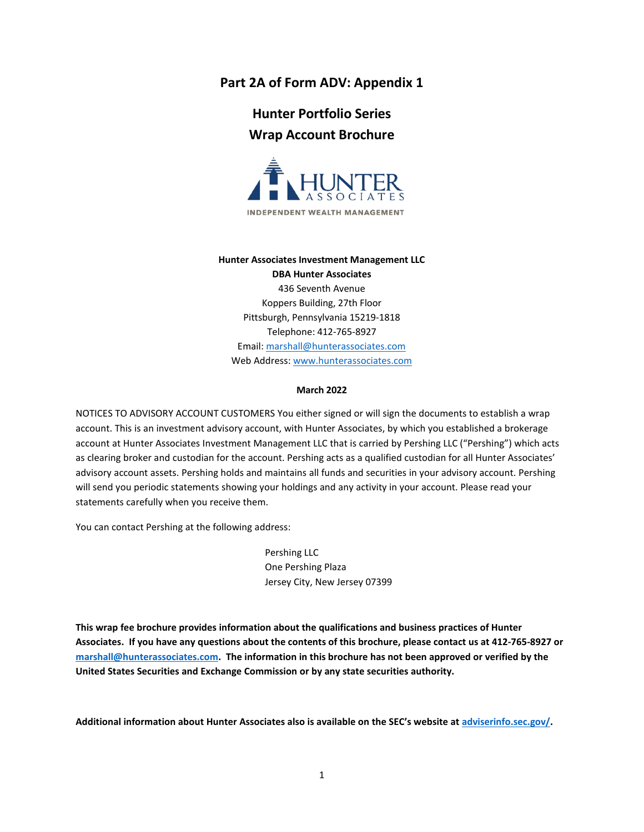# **Part 2A of Form ADV: Appendix 1**

# **Hunter Portfolio Series Wrap Account Brochure**



#### **Hunter Associates Investment Management LLC**

**DBA Hunter Associates** 436 Seventh Avenue Koppers Building, 27th Floor Pittsburgh, Pennsylvania 15219-1818 Telephone: 412-765-8927 Email: [marshall@hunterassociates.com](mailto:marshall@hunterassociates.com) Web Address: [www.hunterassociates.com](http://www.hunterassociates.com/)

#### **March 2022**

NOTICES TO ADVISORY ACCOUNT CUSTOMERS You either signed or will sign the documents to establish a wrap account. This is an investment advisory account, with Hunter Associates, by which you established a brokerage account at Hunter Associates Investment Management LLC that is carried by Pershing LLC ("Pershing") which acts as clearing broker and custodian for the account. Pershing acts as a qualified custodian for all Hunter Associates' advisory account assets. Pershing holds and maintains all funds and securities in your advisory account. Pershing will send you periodic statements showing your holdings and any activity in your account. Please read your statements carefully when you receive them.

You can contact Pershing at the following address:

Pershing LLC One Pershing Plaza Jersey City, New Jersey 07399

**This wrap fee brochure provides information about the qualifications and business practices of Hunter Associates. If you have any questions about the contents of this brochure, please contact us at 412-765-8927 or [marshall@hunterassociates.com.](mailto:marshall@hunterassociates.com) The information in this brochure has not been approved or verified by the United States Securities and Exchange Commission or by any state securities authority.** 

**Additional information about Hunter Associates also is available on the SEC's website at [adviserinfo.sec.gov/.](https://adviserinfo.sec.gov/)**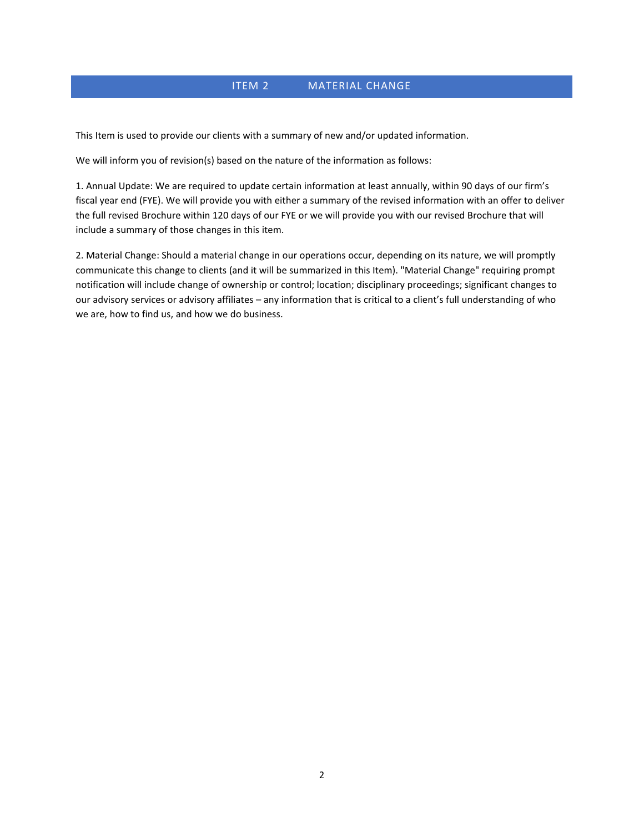# ITEM 2 MATERIAL CHANGE

This Item is used to provide our clients with a summary of new and/or updated information.

We will inform you of revision(s) based on the nature of the information as follows:

1. Annual Update: We are required to update certain information at least annually, within 90 days of our firm's fiscal year end (FYE). We will provide you with either a summary of the revised information with an offer to deliver the full revised Brochure within 120 days of our FYE or we will provide you with our revised Brochure that will include a summary of those changes in this item.

2. Material Change: Should a material change in our operations occur, depending on its nature, we will promptly communicate this change to clients (and it will be summarized in this Item). "Material Change" requiring prompt notification will include change of ownership or control; location; disciplinary proceedings; significant changes to our advisory services or advisory affiliates – any information that is critical to a client's full understanding of who we are, how to find us, and how we do business.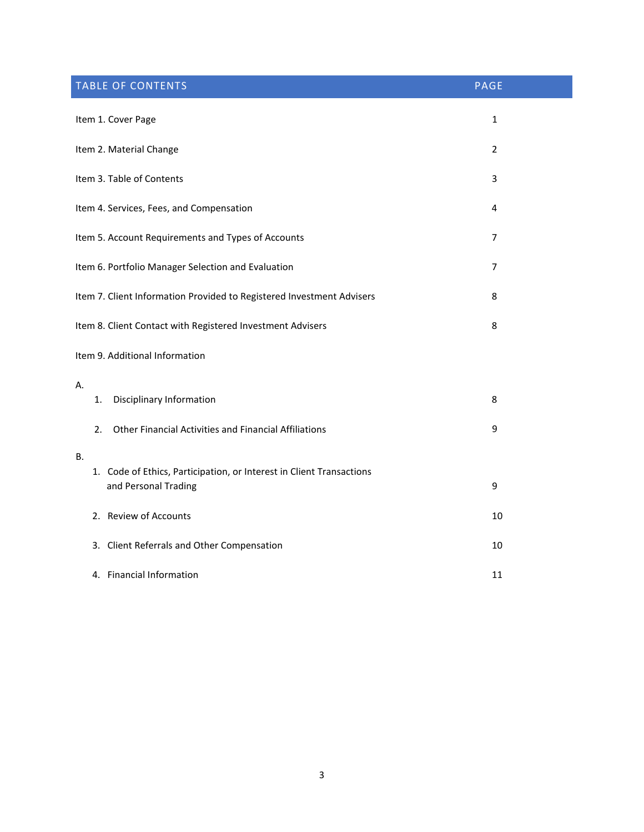| <b>TABLE OF CONTENTS</b>                                                                           | <b>PAGE</b>    |
|----------------------------------------------------------------------------------------------------|----------------|
| Item 1. Cover Page                                                                                 | $\mathbf{1}$   |
| Item 2. Material Change                                                                            | $\overline{2}$ |
| Item 3. Table of Contents                                                                          | 3              |
| Item 4. Services, Fees, and Compensation                                                           | 4              |
| Item 5. Account Requirements and Types of Accounts                                                 | $\overline{7}$ |
| Item 6. Portfolio Manager Selection and Evaluation                                                 | 7              |
| Item 7. Client Information Provided to Registered Investment Advisers                              | 8              |
| Item 8. Client Contact with Registered Investment Advisers                                         | 8              |
| Item 9. Additional Information                                                                     |                |
| Α.<br><b>Disciplinary Information</b><br>1.                                                        | 8              |
| Other Financial Activities and Financial Affiliations<br>2.                                        | 9              |
| В.<br>1. Code of Ethics, Participation, or Interest in Client Transactions<br>and Personal Trading | 9              |
| 2. Review of Accounts                                                                              | 10             |
| 3. Client Referrals and Other Compensation                                                         | 10             |
| 4. Financial Information                                                                           | 11             |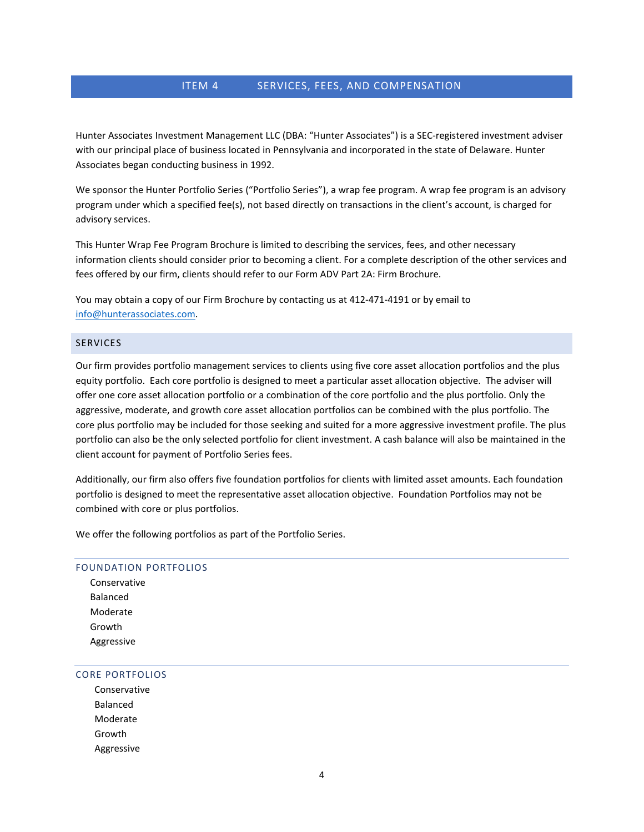# ITEM 4 SERVICES, FEES, AND COMPENSATION

Hunter Associates Investment Management LLC (DBA: "Hunter Associates") is a SEC-registered investment adviser with our principal place of business located in Pennsylvania and incorporated in the state of Delaware. Hunter Associates began conducting business in 1992.

We sponsor the Hunter Portfolio Series ("Portfolio Series"), a wrap fee program. A wrap fee program is an advisory program under which a specified fee(s), not based directly on transactions in the client's account, is charged for advisory services.

This Hunter Wrap Fee Program Brochure is limited to describing the services, fees, and other necessary information clients should consider prior to becoming a client. For a complete description of the other services and fees offered by our firm, clients should refer to our Form ADV Part 2A: Firm Brochure.

You may obtain a copy of our Firm Brochure by contacting us at 412-471-4191 or by email to [info@hunterassociates.com.](mailto:info@hunterassociates.com)

## **SERVICES**

Our firm provides portfolio management services to clients using five core asset allocation portfolios and the plus equity portfolio. Each core portfolio is designed to meet a particular asset allocation objective. The adviser will offer one core asset allocation portfolio or a combination of the core portfolio and the plus portfolio. Only the aggressive, moderate, and growth core asset allocation portfolios can be combined with the plus portfolio. The core plus portfolio may be included for those seeking and suited for a more aggressive investment profile. The plus portfolio can also be the only selected portfolio for client investment. A cash balance will also be maintained in the client account for payment of Portfolio Series fees.

Additionally, our firm also offers five foundation portfolios for clients with limited asset amounts. Each foundation portfolio is designed to meet the representative asset allocation objective. Foundation Portfolios may not be combined with core or plus portfolios.

We offer the following portfolios as part of the Portfolio Series.

#### FOUNDATION PORTFOLIOS

 Conservative Balanced Moderate Growth Aggressive

#### CORE PORTFOLIOS

Conservative Balanced Moderate Growth Aggressive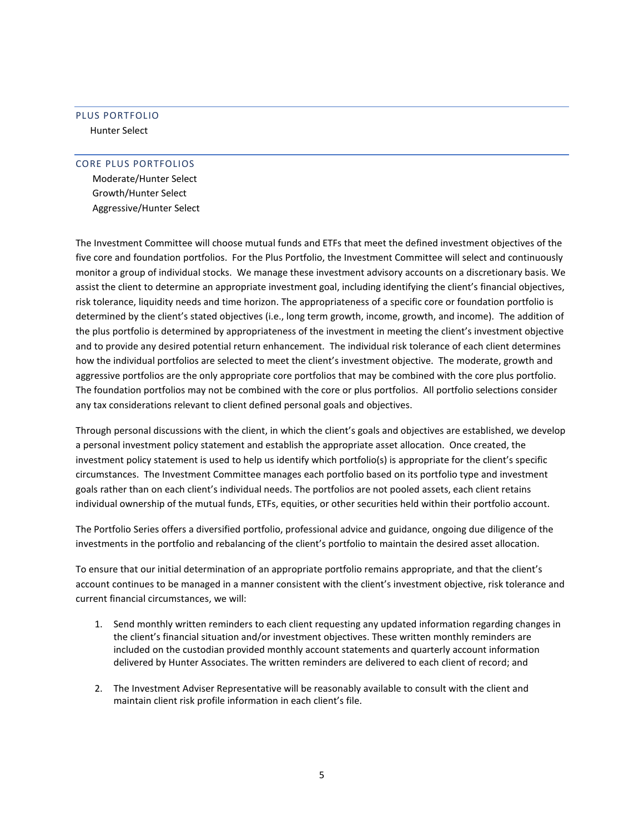# PLUS PORTFOLIO

Hunter Select

### CORE PLUS PORTFOLIOS

 Moderate/Hunter Select Growth/Hunter Select Aggressive/Hunter Select

The Investment Committee will choose mutual funds and ETFs that meet the defined investment objectives of the five core and foundation portfolios. For the Plus Portfolio, the Investment Committee will select and continuously monitor a group of individual stocks. We manage these investment advisory accounts on a discretionary basis. We assist the client to determine an appropriate investment goal, including identifying the client's financial objectives, risk tolerance, liquidity needs and time horizon. The appropriateness of a specific core or foundation portfolio is determined by the client's stated objectives (i.e., long term growth, income, growth, and income). The addition of the plus portfolio is determined by appropriateness of the investment in meeting the client's investment objective and to provide any desired potential return enhancement. The individual risk tolerance of each client determines how the individual portfolios are selected to meet the client's investment objective. The moderate, growth and aggressive portfolios are the only appropriate core portfolios that may be combined with the core plus portfolio. The foundation portfolios may not be combined with the core or plus portfolios. All portfolio selections consider any tax considerations relevant to client defined personal goals and objectives.

Through personal discussions with the client, in which the client's goals and objectives are established, we develop a personal investment policy statement and establish the appropriate asset allocation. Once created, the investment policy statement is used to help us identify which portfolio(s) is appropriate for the client's specific circumstances. The Investment Committee manages each portfolio based on its portfolio type and investment goals rather than on each client's individual needs. The portfolios are not pooled assets, each client retains individual ownership of the mutual funds, ETFs, equities, or other securities held within their portfolio account.

The Portfolio Series offers a diversified portfolio, professional advice and guidance, ongoing due diligence of the investments in the portfolio and rebalancing of the client's portfolio to maintain the desired asset allocation.

To ensure that our initial determination of an appropriate portfolio remains appropriate, and that the client's account continues to be managed in a manner consistent with the client's investment objective, risk tolerance and current financial circumstances, we will:

- 1. Send monthly written reminders to each client requesting any updated information regarding changes in the client's financial situation and/or investment objectives. These written monthly reminders are included on the custodian provided monthly account statements and quarterly account information delivered by Hunter Associates. The written reminders are delivered to each client of record; and
- 2. The Investment Adviser Representative will be reasonably available to consult with the client and maintain client risk profile information in each client's file.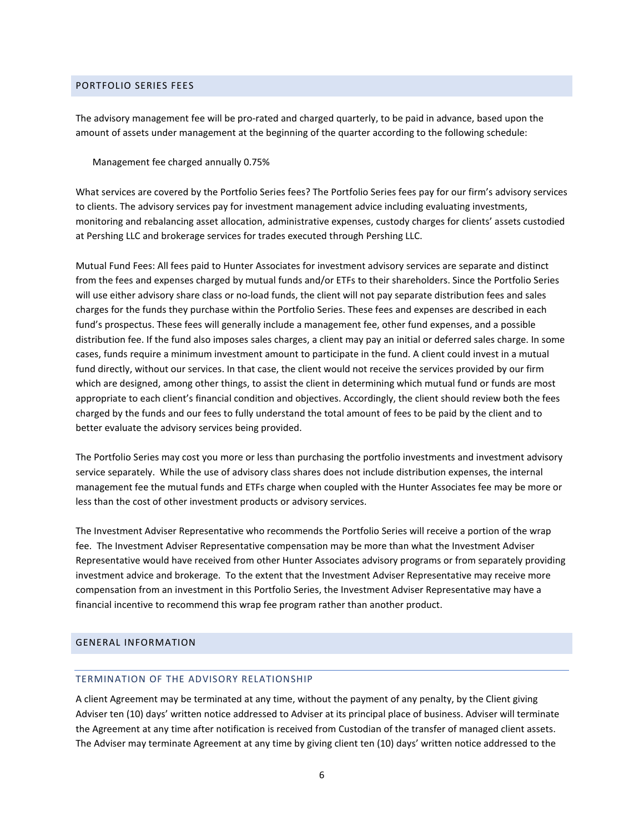## PORTFOLIO SERIES FEES

The advisory management fee will be pro-rated and charged quarterly, to be paid in advance, based upon the amount of assets under management at the beginning of the quarter according to the following schedule:

Management fee charged annually 0.75%

What services are covered by the Portfolio Series fees? The Portfolio Series fees pay for our firm's advisory services to clients. The advisory services pay for investment management advice including evaluating investments, monitoring and rebalancing asset allocation, administrative expenses, custody charges for clients' assets custodied at Pershing LLC and brokerage services for trades executed through Pershing LLC.

Mutual Fund Fees: All fees paid to Hunter Associates for investment advisory services are separate and distinct from the fees and expenses charged by mutual funds and/or ETFs to their shareholders. Since the Portfolio Series will use either advisory share class or no-load funds, the client will not pay separate distribution fees and sales charges for the funds they purchase within the Portfolio Series. These fees and expenses are described in each fund's prospectus. These fees will generally include a management fee, other fund expenses, and a possible distribution fee. If the fund also imposes sales charges, a client may pay an initial or deferred sales charge. In some cases, funds require a minimum investment amount to participate in the fund. A client could invest in a mutual fund directly, without our services. In that case, the client would not receive the services provided by our firm which are designed, among other things, to assist the client in determining which mutual fund or funds are most appropriate to each client's financial condition and objectives. Accordingly, the client should review both the fees charged by the funds and our fees to fully understand the total amount of fees to be paid by the client and to better evaluate the advisory services being provided.

The Portfolio Series may cost you more or less than purchasing the portfolio investments and investment advisory service separately. While the use of advisory class shares does not include distribution expenses, the internal management fee the mutual funds and ETFs charge when coupled with the Hunter Associates fee may be more or less than the cost of other investment products or advisory services.

The Investment Adviser Representative who recommends the Portfolio Series will receive a portion of the wrap fee. The Investment Adviser Representative compensation may be more than what the Investment Adviser Representative would have received from other Hunter Associates advisory programs or from separately providing investment advice and brokerage. To the extent that the Investment Adviser Representative may receive more compensation from an investment in this Portfolio Series, the Investment Adviser Representative may have a financial incentive to recommend this wrap fee program rather than another product.

### GENERAL INFORMATION

#### TERMINATION OF THE ADVISORY RELATIONSHIP

A client Agreement may be terminated at any time, without the payment of any penalty, by the Client giving Adviser ten (10) days' written notice addressed to Adviser at its principal place of business. Adviser will terminate the Agreement at any time after notification is received from Custodian of the transfer of managed client assets. The Adviser may terminate Agreement at any time by giving client ten (10) days' written notice addressed to the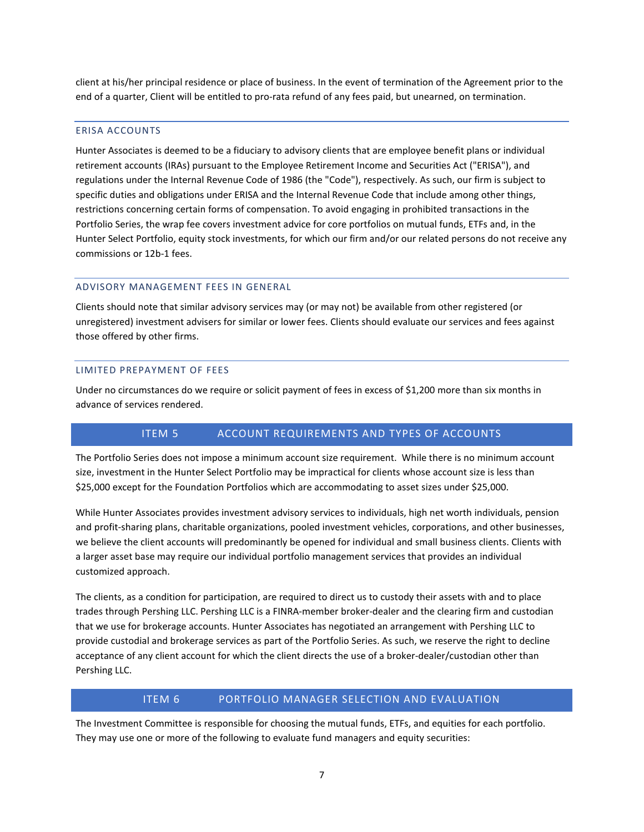client at his/her principal residence or place of business. In the event of termination of the Agreement prior to the end of a quarter, Client will be entitled to pro-rata refund of any fees paid, but unearned, on termination.

#### ERISA ACCOUNTS

Hunter Associates is deemed to be a fiduciary to advisory clients that are employee benefit plans or individual retirement accounts (IRAs) pursuant to the Employee Retirement Income and Securities Act ("ERISA"), and regulations under the Internal Revenue Code of 1986 (the "Code"), respectively. As such, our firm is subject to specific duties and obligations under ERISA and the Internal Revenue Code that include among other things, restrictions concerning certain forms of compensation. To avoid engaging in prohibited transactions in the Portfolio Series, the wrap fee covers investment advice for core portfolios on mutual funds, ETFs and, in the Hunter Select Portfolio, equity stock investments, for which our firm and/or our related persons do not receive any commissions or 12b-1 fees.

#### ADVISORY MANAGEMENT FEES IN GENERAL

Clients should note that similar advisory services may (or may not) be available from other registered (or unregistered) investment advisers for similar or lower fees. Clients should evaluate our services and fees against those offered by other firms.

#### LIMITED PREPAYMENT OF FEES

Under no circumstances do we require or solicit payment of fees in excess of \$1,200 more than six months in advance of services rendered.

# ITEM 5 ACCOUNT REQUIREMENTS AND TYPES OF ACCOUNTS

The Portfolio Series does not impose a minimum account size requirement. While there is no minimum account size, investment in the Hunter Select Portfolio may be impractical for clients whose account size is less than \$25,000 except for the Foundation Portfolios which are accommodating to asset sizes under \$25,000.

While Hunter Associates provides investment advisory services to individuals, high net worth individuals, pension and profit-sharing plans, charitable organizations, pooled investment vehicles, corporations, and other businesses, we believe the client accounts will predominantly be opened for individual and small business clients. Clients with a larger asset base may require our individual portfolio management services that provides an individual customized approach.

The clients, as a condition for participation, are required to direct us to custody their assets with and to place trades through Pershing LLC. Pershing LLC is a FINRA-member broker-dealer and the clearing firm and custodian that we use for brokerage accounts. Hunter Associates has negotiated an arrangement with Pershing LLC to provide custodial and brokerage services as part of the Portfolio Series. As such, we reserve the right to decline acceptance of any client account for which the client directs the use of a broker-dealer/custodian other than Pershing LLC.

## ITEM 6 PORTFOLIO MANAGER SELECTION AND EVALUATION

The Investment Committee is responsible for choosing the mutual funds, ETFs, and equities for each portfolio. They may use one or more of the following to evaluate fund managers and equity securities: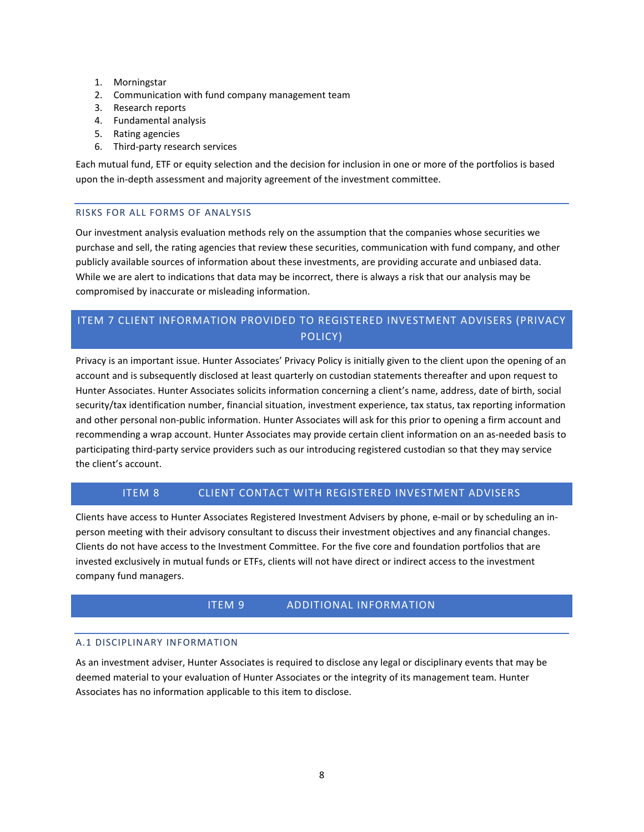- 1. Morningstar
- 2. Communication with fund company management team
- 3. Research reports
- 4. Fundamental analysis
- 5. Rating agencies
- 6. Third-party research services

Each mutual fund, ETF or equity selection and the decision for inclusion in one or more of the portfolios is based upon the in-depth assessment and majority agreement of the investment committee.

# RISKS FOR ALL FORMS OF ANALYSIS

Our investment analysis evaluation methods rely on the assumption that the companies whose securities we purchase and sell, the rating agencies that review these securities, communication with fund company, and other publicly available sources of information about these investments, are providing accurate and unbiased data. While we are alert to indications that data may be incorrect, there is always a risk that our analysis may be compromised by inaccurate or misleading information.

# ITEM 7 CLIENT INFORMATION PROVIDED TO REGISTERED INVESTMENT ADVISERS (PRIVACY POLICY)

Privacy is an important issue. Hunter Associates' Privacy Policy is initially given to the client upon the opening of an account and is subsequently disclosed at least quarterly on custodian statements thereafter and upon request to Hunter Associates. Hunter Associates solicits information concerning a client's name, address, date of birth, social security/tax identification number, financial situation, investment experience, tax status, tax reporting information and other personal non-public information. Hunter Associates will ask for this prior to opening a firm account and recommending a wrap account. Hunter Associates may provide certain client information on an as-needed basis to participating third-party service providers such as our introducing registered custodian so that they may service the client's account.

# ITEM 8 CLIENT CONTACT WITH REGISTERED INVESTMENT ADVISERS

Clients have access to Hunter Associates Registered Investment Advisers by phone, e-mail or by scheduling an inperson meeting with their advisory consultant to discuss their investment objectives and any financial changes. Clients do not have access to the Investment Committee. For the five core and foundation portfolios that are invested exclusively in mutual funds or ETFs, clients will not have direct or indirect access to the investment company fund managers.

# ITEM 9 ADDITIONAL INFORMATION

# A.1 DISCIPLINARY INFORMATION

As an investment adviser, Hunter Associates is required to disclose any legal or disciplinary events that may be deemed material to your evaluation of Hunter Associates or the integrity of its management team. Hunter Associates has no information applicable to this item to disclose.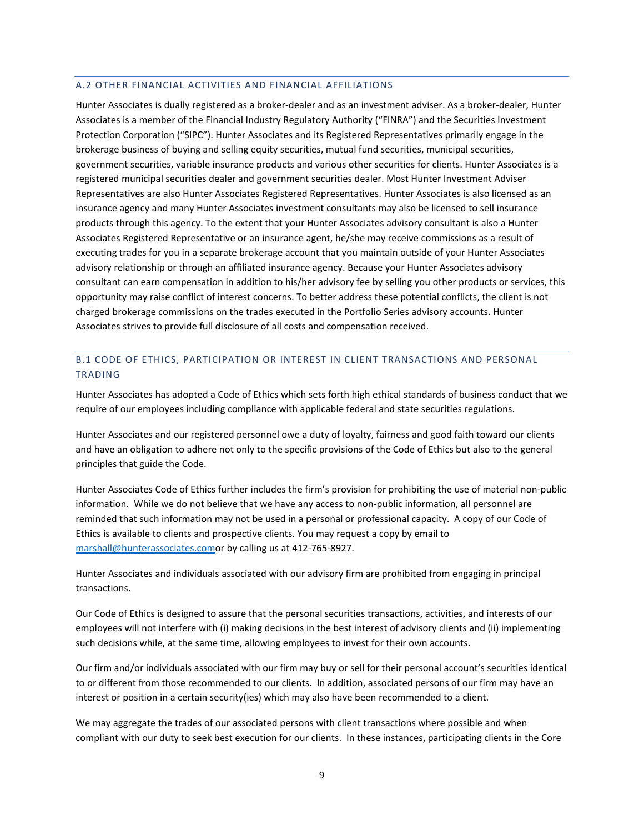#### A.2 OTHER FINANCIAL ACTIVITIES AND FINANCIAL AFFILIATIONS

Hunter Associates is dually registered as a broker-dealer and as an investment adviser. As a broker-dealer, Hunter Associates is a member of the Financial Industry Regulatory Authority ("FINRA") and the Securities Investment Protection Corporation ("SIPC"). Hunter Associates and its Registered Representatives primarily engage in the brokerage business of buying and selling equity securities, mutual fund securities, municipal securities, government securities, variable insurance products and various other securities for clients. Hunter Associates is a registered municipal securities dealer and government securities dealer. Most Hunter Investment Adviser Representatives are also Hunter Associates Registered Representatives. Hunter Associates is also licensed as an insurance agency and many Hunter Associates investment consultants may also be licensed to sell insurance products through this agency. To the extent that your Hunter Associates advisory consultant is also a Hunter Associates Registered Representative or an insurance agent, he/she may receive commissions as a result of executing trades for you in a separate brokerage account that you maintain outside of your Hunter Associates advisory relationship or through an affiliated insurance agency. Because your Hunter Associates advisory consultant can earn compensation in addition to his/her advisory fee by selling you other products or services, this opportunity may raise conflict of interest concerns. To better address these potential conflicts, the client is not charged brokerage commissions on the trades executed in the Portfolio Series advisory accounts. Hunter Associates strives to provide full disclosure of all costs and compensation received.

# B.1 CODE OF ETHICS, PARTICIPATION OR INTEREST IN CLIENT TRANSACTIONS AND PERSONAL TRADING

Hunter Associates has adopted a Code of Ethics which sets forth high ethical standards of business conduct that we require of our employees including compliance with applicable federal and state securities regulations.

Hunter Associates and our registered personnel owe a duty of loyalty, fairness and good faith toward our clients and have an obligation to adhere not only to the specific provisions of the Code of Ethics but also to the general principles that guide the Code.

Hunter Associates Code of Ethics further includes the firm's provision for prohibiting the use of material non-public information. While we do not believe that we have any access to non-public information, all personnel are reminded that such information may not be used in a personal or professional capacity. A copy of our Code of Ethics is available to clients and prospective clients. You may request a copy by email to [marshall@hunterassociates.como](mailto:marshall@hunterassociates.com)r by calling us at 412-765-8927.

Hunter Associates and individuals associated with our advisory firm are prohibited from engaging in principal transactions.

Our Code of Ethics is designed to assure that the personal securities transactions, activities, and interests of our employees will not interfere with (i) making decisions in the best interest of advisory clients and (ii) implementing such decisions while, at the same time, allowing employees to invest for their own accounts.

Our firm and/or individuals associated with our firm may buy or sell for their personal account's securities identical to or different from those recommended to our clients. In addition, associated persons of our firm may have an interest or position in a certain security(ies) which may also have been recommended to a client.

We may aggregate the trades of our associated persons with client transactions where possible and when compliant with our duty to seek best execution for our clients. In these instances, participating clients in the Core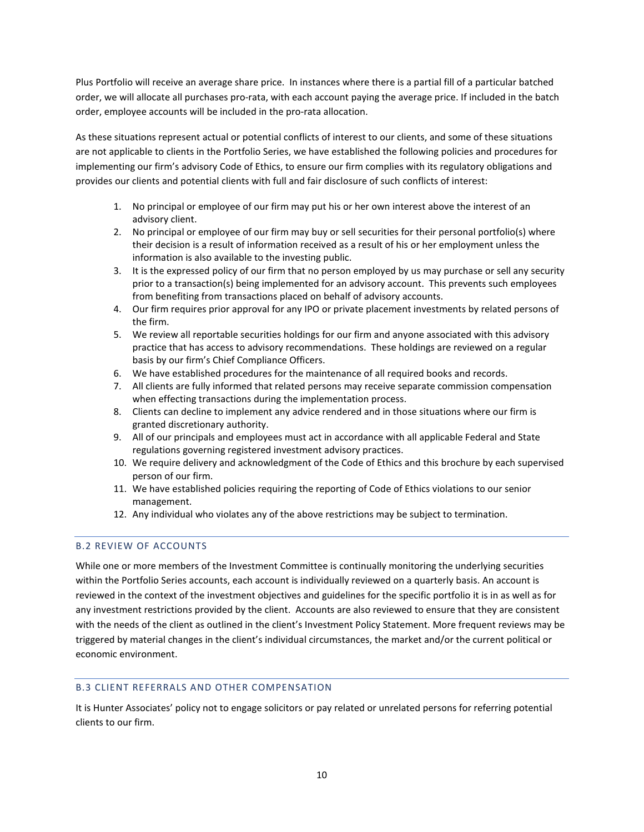Plus Portfolio will receive an average share price. In instances where there is a partial fill of a particular batched order, we will allocate all purchases pro-rata, with each account paying the average price. If included in the batch order, employee accounts will be included in the pro-rata allocation.

As these situations represent actual or potential conflicts of interest to our clients, and some of these situations are not applicable to clients in the Portfolio Series, we have established the following policies and procedures for implementing our firm's advisory Code of Ethics, to ensure our firm complies with its regulatory obligations and provides our clients and potential clients with full and fair disclosure of such conflicts of interest:

- 1. No principal or employee of our firm may put his or her own interest above the interest of an advisory client.
- 2. No principal or employee of our firm may buy or sell securities for their personal portfolio(s) where their decision is a result of information received as a result of his or her employment unless the information is also available to the investing public.
- 3. It is the expressed policy of our firm that no person employed by us may purchase or sell any security prior to a transaction(s) being implemented for an advisory account. This prevents such employees from benefiting from transactions placed on behalf of advisory accounts.
- 4. Our firm requires prior approval for any IPO or private placement investments by related persons of the firm.
- 5. We review all reportable securities holdings for our firm and anyone associated with this advisory practice that has access to advisory recommendations. These holdings are reviewed on a regular basis by our firm's Chief Compliance Officers.
- 6. We have established procedures for the maintenance of all required books and records.
- 7. All clients are fully informed that related persons may receive separate commission compensation when effecting transactions during the implementation process.
- 8. Clients can decline to implement any advice rendered and in those situations where our firm is granted discretionary authority.
- 9. All of our principals and employees must act in accordance with all applicable Federal and State regulations governing registered investment advisory practices.
- 10. We require delivery and acknowledgment of the Code of Ethics and this brochure by each supervised person of our firm.
- 11. We have established policies requiring the reporting of Code of Ethics violations to our senior management.
- 12. Any individual who violates any of the above restrictions may be subject to termination.

# B.2 REVIEW OF ACCOUNTS

While one or more members of the Investment Committee is continually monitoring the underlying securities within the Portfolio Series accounts, each account is individually reviewed on a quarterly basis. An account is reviewed in the context of the investment objectives and guidelines for the specific portfolio it is in as well as for any investment restrictions provided by the client. Accounts are also reviewed to ensure that they are consistent with the needs of the client as outlined in the client's Investment Policy Statement. More frequent reviews may be triggered by material changes in the client's individual circumstances, the market and/or the current political or economic environment.

# B.3 CLIENT REFERRALS AND OTHER COMPENSATION

It is Hunter Associates' policy not to engage solicitors or pay related or unrelated persons for referring potential clients to our firm.